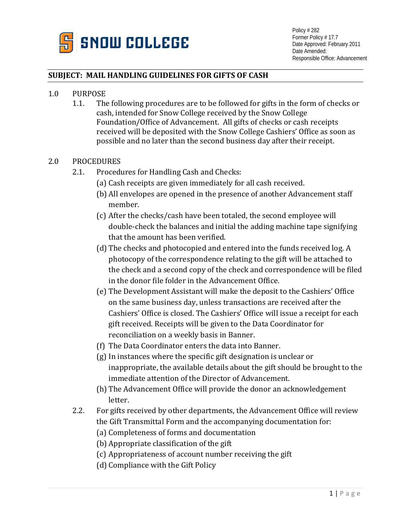

## **SUBJECT: MAIL HANDLING GUIDELINES FOR GIFTS OF CASH**

- 1.0 PURPOSE<br>1.1. The
	- The following procedures are to be followed for gifts in the form of checks or cash, intended for Snow College received by the Snow College Foundation/Office of Advancement. All gifts of checks or cash receipts received will be deposited with the Snow College Cashiers' Office as soon as possible and no later than the second business day after their receipt.

## 2.0 PROCEDURES

- 2.1. Procedures for Handling Cash and Checks:
	- (a) Cash receipts are given immediately for all cash received.
	- (b) All envelopes are opened in the presence of another Advancement staff member.
	- (c) After the checks/cash have been totaled, the second employee will double-check the balances and initial the adding machine tape signifying that the amount has been verified.
	- (d) The checks and photocopied and entered into the funds received log. A photocopy of the correspondence relating to the gift will be attached to the check and a second copy of the check and correspondence will be filed in the donor file folder in the Advancement Office.
	- (e) The Development Assistant will make the deposit to the Cashiers' Office on the same business day, unless transactions are received after the Cashiers' Office is closed. The Cashiers' Office will issue a receipt for each gift received. Receipts will be given to the Data Coordinator for reconciliation on a weekly basis in Banner.
	- (f) The Data Coordinator enters the data into Banner.
	- (g) In instances where the specific gift designation is unclear or inappropriate, the available details about the gift should be brought to the immediate attention of the Director of Advancement.
	- (h) The Advancement Office will provide the donor an acknowledgement letter.
- 2.2. For gifts received by other departments, the Advancement Office will review the Gift Transmittal Form and the accompanying documentation for:
	- (a) Completeness of forms and documentation
	- (b) Appropriate classification of the gift
	- (c) Appropriateness of account number receiving the gift
	- (d) Compliance with the Gift Policy